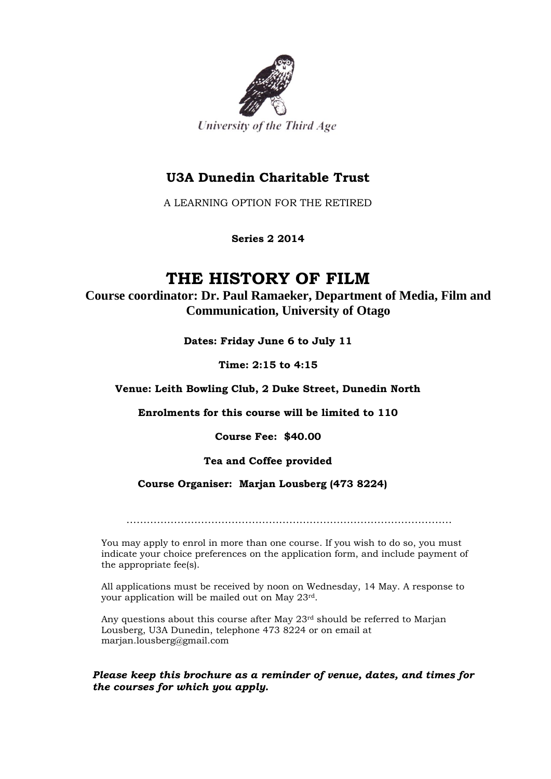

# **U3A Dunedin Charitable Trust**

A LEARNING OPTION FOR THE RETIRED

**Series 2 2014**

# **THE HISTORY OF FILM**

**Course coordinator: Dr. Paul Ramaeker, Department of Media, Film and Communication, University of Otago**

**Dates: Friday June 6 to July 11**

**Time: 2:15 to 4:15**

**Venue: Leith Bowling Club, 2 Duke Street, Dunedin North**

**Enrolments for this course will be limited to 110**

**Course Fee: \$40.00**

# **Tea and Coffee provided**

#### **Course Organiser: Marjan Lousberg (473 8224)**

……………………………………………………………………………………

You may apply to enrol in more than one course. If you wish to do so, you must indicate your choice preferences on the application form, and include payment of the appropriate fee(s).

All applications must be received by noon on Wednesday, 14 May. A response to your application will be mailed out on May 23rd.

Any questions about this course after May 23rd should be referred to Marjan Lousberg, U3A Dunedin, telephone 473 8224 or on email at marjan.lousberg@gmail.com

#### *Please keep this brochure as a reminder of venue, dates, and times for the courses for which you apply.*